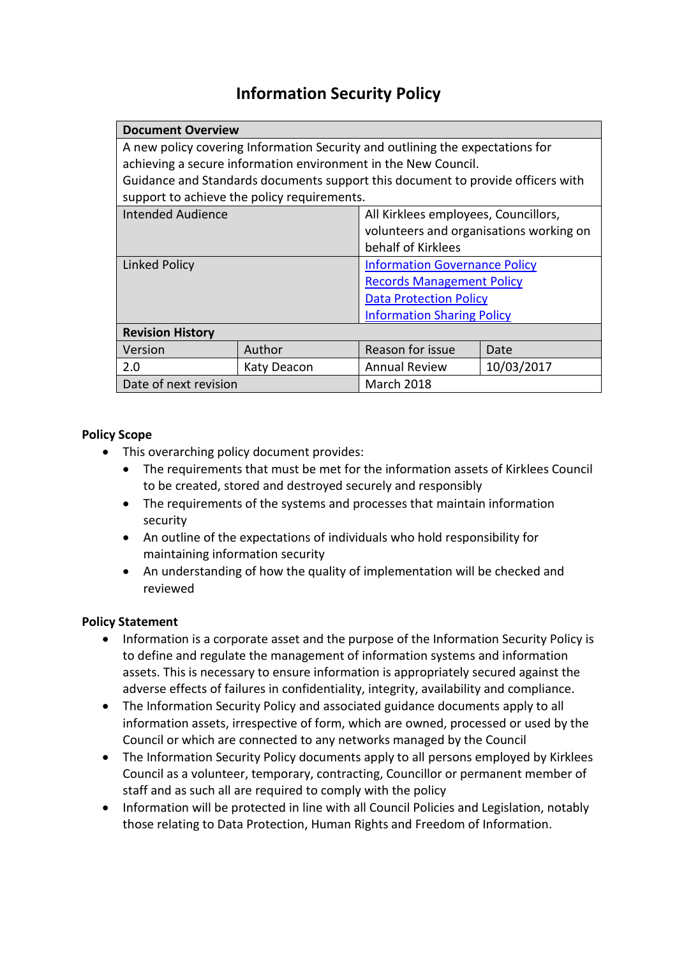# **Information Security Policy**

| <b>Document Overview</b>                                                        |             |                                         |            |
|---------------------------------------------------------------------------------|-------------|-----------------------------------------|------------|
| A new policy covering Information Security and outlining the expectations for   |             |                                         |            |
| achieving a secure information environment in the New Council.                  |             |                                         |            |
| Guidance and Standards documents support this document to provide officers with |             |                                         |            |
| support to achieve the policy requirements.                                     |             |                                         |            |
| Intended Audience                                                               |             | All Kirklees employees, Councillors,    |            |
|                                                                                 |             | volunteers and organisations working on |            |
|                                                                                 |             | behalf of Kirklees                      |            |
| Linked Policy                                                                   |             | <b>Information Governance Policy</b>    |            |
|                                                                                 |             | <b>Records Management Policy</b>        |            |
|                                                                                 |             | <b>Data Protection Policy</b>           |            |
|                                                                                 |             | <b>Information Sharing Policy</b>       |            |
| <b>Revision History</b>                                                         |             |                                         |            |
| Version                                                                         | Author      | Reason for issue                        | Date       |
| 2.0                                                                             | Katy Deacon | <b>Annual Review</b>                    | 10/03/2017 |
| Date of next revision                                                           |             | <b>March 2018</b>                       |            |

## **Policy Scope**

- This overarching policy document provides:
	- The requirements that must be met for the information assets of Kirklees Council to be created, stored and destroyed securely and responsibly
	- The requirements of the systems and processes that maintain information security
	- An outline of the expectations of individuals who hold responsibility for maintaining information security
	- An understanding of how the quality of implementation will be checked and reviewed

## **Policy Statement**

- Information is a corporate asset and the purpose of the Information Security Policy is to define and regulate the management of information systems and information assets. This is necessary to ensure information is appropriately secured against the adverse effects of failures in confidentiality, integrity, availability and compliance.
- The Information Security Policy and associated guidance documents apply to all information assets, irrespective of form, which are owned, processed or used by the Council or which are connected to any networks managed by the Council
- The Information Security Policy documents apply to all persons employed by Kirklees Council as a volunteer, temporary, contracting, Councillor or permanent member of staff and as such all are required to comply with the policy
- Information will be protected in line with all Council Policies and Legislation, notably those relating to Data Protection, Human Rights and Freedom of Information.